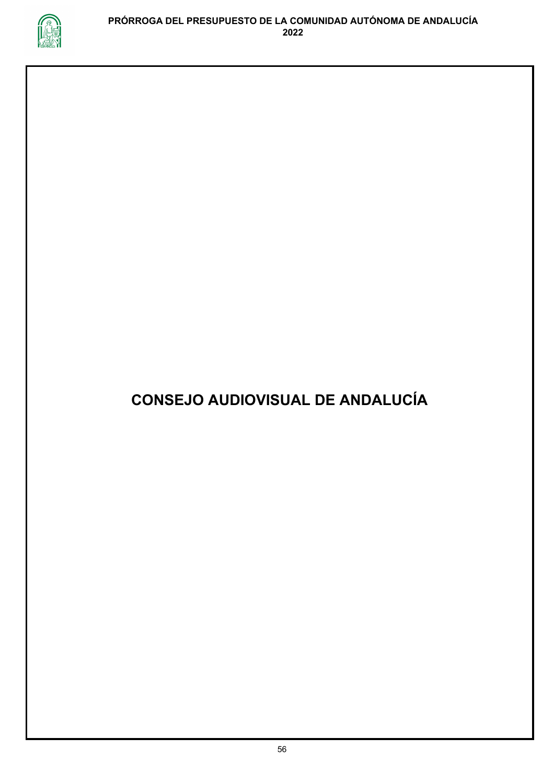

## **CONSEJO AUDIOVISUAL DE ANDALUCÍA**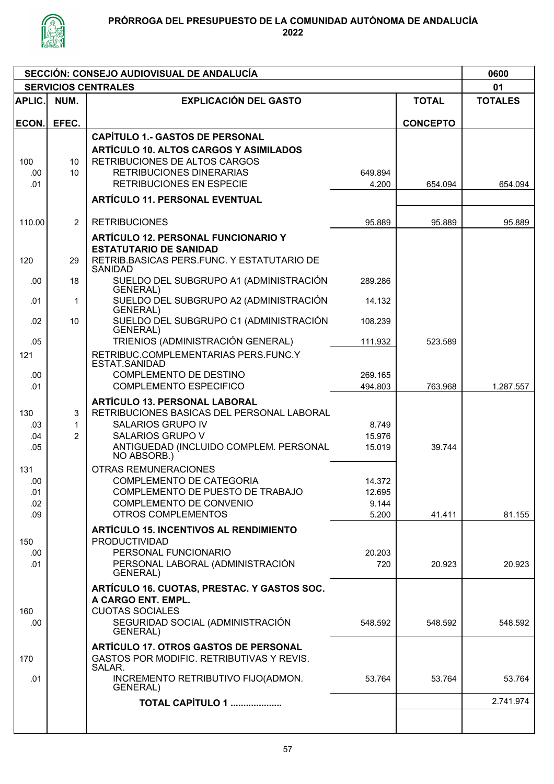

| SECCIÓN: CONSEJO AUDIOVISUAL DE ANDALUCÍA |                            |                                                                                                                                                                                                |                                    |                 |                |  |  |  |
|-------------------------------------------|----------------------------|------------------------------------------------------------------------------------------------------------------------------------------------------------------------------------------------|------------------------------------|-----------------|----------------|--|--|--|
|                                           | <b>SERVICIOS CENTRALES</b> |                                                                                                                                                                                                | 01                                 |                 |                |  |  |  |
| <b>APLIC.</b>                             | NUM.                       | <b>EXPLICACIÓN DEL GASTO</b>                                                                                                                                                                   |                                    | <b>TOTAL</b>    | <b>TOTALES</b> |  |  |  |
| ECON.                                     | EFEC.                      |                                                                                                                                                                                                |                                    | <b>CONCEPTO</b> |                |  |  |  |
| 100<br>.00.<br>.01                        | 10<br>10                   | <b>CAPÍTULO 1.- GASTOS DE PERSONAL</b><br><b>ARTÍCULO 10. ALTOS CARGOS Y ASIMILADOS</b><br>RETRIBUCIONES DE ALTOS CARGOS<br><b>RETRIBUCIONES DINERARIAS</b><br><b>RETRIBUCIONES EN ESPECIE</b> | 649.894<br>4.200                   | 654.094         | 654.094        |  |  |  |
|                                           |                            | <b>ARTÍCULO 11. PERSONAL EVENTUAL</b>                                                                                                                                                          |                                    |                 |                |  |  |  |
| 110.00<br>120                             | 2<br>29                    | <b>RETRIBUCIONES</b><br><b>ARTÍCULO 12. PERSONAL FUNCIONARIO Y</b><br><b>ESTATUTARIO DE SANIDAD</b><br>RETRIB.BASICAS PERS.FUNC. Y ESTATUTARIO DE<br><b>SANIDAD</b>                            | 95.889                             | 95.889          | 95.889         |  |  |  |
| .00                                       | 18                         | SUELDO DEL SUBGRUPO A1 (ADMINISTRACIÓN<br><b>GENERAL</b> )                                                                                                                                     | 289.286                            |                 |                |  |  |  |
| .01                                       | $\mathbf{1}$               | SUELDO DEL SUBGRUPO A2 (ADMINISTRACIÓN<br><b>GENERAL)</b>                                                                                                                                      | 14.132                             |                 |                |  |  |  |
| .02                                       | 10                         | SUELDO DEL SUBGRUPO C1 (ADMINISTRACIÓN<br><b>GENERAL</b> )                                                                                                                                     | 108.239                            |                 |                |  |  |  |
| .05<br>121                                |                            | TRIENIOS (ADMINISTRACIÓN GENERAL)<br>RETRIBUC.COMPLEMENTARIAS PERS.FUNC.Y                                                                                                                      | 111.932                            | 523.589         |                |  |  |  |
| .00<br>.01                                |                            | ESTAT.SANIDAD<br>COMPLEMENTO DE DESTINO<br><b>COMPLEMENTO ESPECIFICO</b>                                                                                                                       | 269.165<br>494.803                 | 763.968         | 1.287.557      |  |  |  |
| 130<br>.03<br>.04<br>.05                  | 3<br>1<br>$\overline{2}$   | <b>ARTÍCULO 13. PERSONAL LABORAL</b><br>RETRIBUCIONES BASICAS DEL PERSONAL LABORAL<br><b>SALARIOS GRUPO IV</b><br>SALARIOS GRUPO V<br>ANTIGUEDAD (INCLUIDO COMPLEM. PERSONAL<br>NO ABSORB.)    | 8.749<br>15.976<br>15.019          | 39.744          |                |  |  |  |
| 131<br>.00<br>.01<br>.02<br>.09           |                            | OTRAS REMUNERACIONES<br>COMPLEMENTO DE CATEGORIA<br>COMPLEMENTO DE PUESTO DE TRABAJO<br>COMPLEMENTO DE CONVENIO<br><b>OTROS COMPLEMENTOS</b>                                                   | 14.372<br>12.695<br>9.144<br>5.200 | 41.411          | 81.155         |  |  |  |
| 150<br>.00<br>.01                         |                            | <b>ARTÍCULO 15. INCENTIVOS AL RENDIMIENTO</b><br><b>PRODUCTIVIDAD</b><br>PERSONAL FUNCIONARIO<br>PERSONAL LABORAL (ADMINISTRACIÓN<br><b>GENERAL</b> )                                          | 20.203<br>720                      | 20.923          | 20.923         |  |  |  |
| 160<br>.00.                               |                            | ARTÍCULO 16. CUOTAS, PRESTAC. Y GASTOS SOC.<br>A CARGO ENT. EMPL.<br><b>CUOTAS SOCIALES</b><br>SEGURIDAD SOCIAL (ADMINISTRACIÓN<br><b>GENERAL</b> )                                            | 548.592                            | 548.592         | 548.592        |  |  |  |
| 170                                       |                            | <b>ARTÍCULO 17. OTROS GASTOS DE PERSONAL</b><br>GASTOS POR MODIFIC. RETRIBUTIVAS Y REVIS.<br>SALAR.                                                                                            |                                    |                 |                |  |  |  |
| .01                                       |                            | INCREMENTO RETRIBUTIVO FIJO(ADMON.<br>GENERAL)                                                                                                                                                 | 53.764                             | 53.764          | 53.764         |  |  |  |
|                                           |                            | <b>TOTAL CAPÍTULO 1 </b>                                                                                                                                                                       |                                    |                 | 2.741.974      |  |  |  |
|                                           |                            |                                                                                                                                                                                                |                                    |                 |                |  |  |  |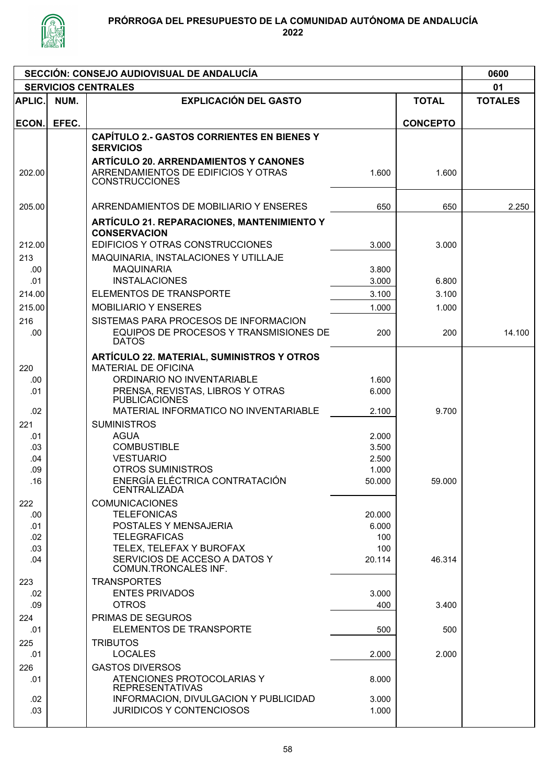

| SECCIÓN: CONSEJO AUDIOVISUAL DE ANDALUCÍA |       |                                                                          |                 |                 |        |  |  |  |  |
|-------------------------------------------|-------|--------------------------------------------------------------------------|-----------------|-----------------|--------|--|--|--|--|
| <b>SERVICIOS CENTRALES</b>                |       |                                                                          |                 |                 |        |  |  |  |  |
| APLIC.                                    | NUM.  | <b>EXPLICACIÓN DEL GASTO</b><br><b>TOTAL</b>                             |                 |                 |        |  |  |  |  |
| ECON.                                     | EFEC. |                                                                          |                 | <b>CONCEPTO</b> |        |  |  |  |  |
|                                           |       | <b>CAPÍTULO 2.- GASTOS CORRIENTES EN BIENES Y</b>                        |                 |                 |        |  |  |  |  |
|                                           |       | <b>SERVICIOS</b>                                                         |                 |                 |        |  |  |  |  |
|                                           |       | <b>ARTÍCULO 20. ARRENDAMIENTOS Y CANONES</b>                             |                 |                 |        |  |  |  |  |
| 202.00                                    |       | ARRENDAMIENTOS DE EDIFICIOS Y OTRAS                                      | 1.600           | 1.600           |        |  |  |  |  |
|                                           |       | <b>CONSTRUCCIONES</b>                                                    |                 |                 |        |  |  |  |  |
|                                           |       |                                                                          |                 |                 |        |  |  |  |  |
| 205.00                                    |       | ARRENDAMIENTOS DE MOBILIARIO Y ENSERES                                   | 650             | 650             | 2.250  |  |  |  |  |
|                                           |       | <b>ARTÍCULO 21. REPARACIONES, MANTENIMIENTO Y</b>                        |                 |                 |        |  |  |  |  |
|                                           |       | <b>CONSERVACION</b>                                                      |                 |                 |        |  |  |  |  |
| 212.00                                    |       | EDIFICIOS Y OTRAS CONSTRUCCIONES                                         | 3.000           | 3.000           |        |  |  |  |  |
| 213                                       |       | MAQUINARIA, INSTALACIONES Y UTILLAJE                                     |                 |                 |        |  |  |  |  |
| .00<br>.01                                |       | <b>MAQUINARIA</b><br><b>INSTALACIONES</b>                                | 3.800<br>3.000  | 6.800           |        |  |  |  |  |
|                                           |       |                                                                          |                 |                 |        |  |  |  |  |
| 214.00                                    |       | <b>ELEMENTOS DE TRANSPORTE</b>                                           | 3.100           | 3.100           |        |  |  |  |  |
| 215.00                                    |       | <b>MOBILIARIO Y ENSERES</b>                                              | 1.000           | 1.000           |        |  |  |  |  |
| 216                                       |       | SISTEMAS PARA PROCESOS DE INFORMACION                                    |                 |                 |        |  |  |  |  |
| .00                                       |       | EQUIPOS DE PROCESOS Y TRANSMISIONES DE<br><b>DATOS</b>                   | 200             | 200             | 14.100 |  |  |  |  |
|                                           |       |                                                                          |                 |                 |        |  |  |  |  |
| 220                                       |       | ARTÍCULO 22. MATERIAL, SUMINISTROS Y OTROS<br><b>MATERIAL DE OFICINA</b> |                 |                 |        |  |  |  |  |
| .00                                       |       | ORDINARIO NO INVENTARIABLE                                               | 1.600           |                 |        |  |  |  |  |
| .01                                       |       | PRENSA, REVISTAS, LIBROS Y OTRAS                                         | 6.000           |                 |        |  |  |  |  |
|                                           |       | <b>PUBLICACIONES</b>                                                     |                 |                 |        |  |  |  |  |
| .02                                       |       | MATERIAL INFORMATICO NO INVENTARIABLE                                    | 2.100           | 9.700           |        |  |  |  |  |
| 221                                       |       | <b>SUMINISTROS</b>                                                       |                 |                 |        |  |  |  |  |
| .01                                       |       | <b>AGUA</b>                                                              | 2.000           |                 |        |  |  |  |  |
| .03                                       |       | <b>COMBUSTIBLE</b>                                                       | 3.500           |                 |        |  |  |  |  |
| .04                                       |       | <b>VESTUARIO</b><br><b>OTROS SUMINISTROS</b>                             | 2.500           |                 |        |  |  |  |  |
| .09<br>.16                                |       | ENERGÍA ELÉCTRICA CONTRATACIÓN                                           | 1.000<br>50.000 | 59.000          |        |  |  |  |  |
|                                           |       | <b>CENTRALIZADA</b>                                                      |                 |                 |        |  |  |  |  |
| 222                                       |       | <b>COMUNICACIONES</b>                                                    |                 |                 |        |  |  |  |  |
| .00                                       |       | <b>TELEFONICAS</b>                                                       | 20.000          |                 |        |  |  |  |  |
| .01                                       |       | POSTALES Y MENSAJERIA                                                    | 6.000           |                 |        |  |  |  |  |
| .02                                       |       | <b>TELEGRAFICAS</b>                                                      | 100             |                 |        |  |  |  |  |
| .03                                       |       | TELEX, TELEFAX Y BUROFAX                                                 | 100             |                 |        |  |  |  |  |
| .04                                       |       | SERVICIOS DE ACCESO A DATOS Y<br>COMUN.TRONCALES INF.                    | 20.114          | 46.314          |        |  |  |  |  |
| 223                                       |       | <b>TRANSPORTES</b>                                                       |                 |                 |        |  |  |  |  |
| .02                                       |       | <b>ENTES PRIVADOS</b>                                                    | 3.000           |                 |        |  |  |  |  |
| .09                                       |       | <b>OTROS</b>                                                             | 400             | 3.400           |        |  |  |  |  |
| 224                                       |       | PRIMAS DE SEGUROS                                                        |                 |                 |        |  |  |  |  |
| .01                                       |       | ELEMENTOS DE TRANSPORTE                                                  | 500             | 500             |        |  |  |  |  |
| 225                                       |       | <b>TRIBUTOS</b>                                                          |                 |                 |        |  |  |  |  |
| .01                                       |       | <b>LOCALES</b>                                                           | 2.000           | 2.000           |        |  |  |  |  |
| 226                                       |       | <b>GASTOS DIVERSOS</b>                                                   |                 |                 |        |  |  |  |  |
| .01                                       |       | ATENCIONES PROTOCOLARIAS Y                                               | 8.000           |                 |        |  |  |  |  |
|                                           |       | <b>REPRESENTATIVAS</b>                                                   |                 |                 |        |  |  |  |  |
| .02<br>.03                                |       | INFORMACION, DIVULGACION Y PUBLICIDAD<br><b>JURIDICOS Y CONTENCIOSOS</b> | 3.000<br>1.000  |                 |        |  |  |  |  |
|                                           |       |                                                                          |                 |                 |        |  |  |  |  |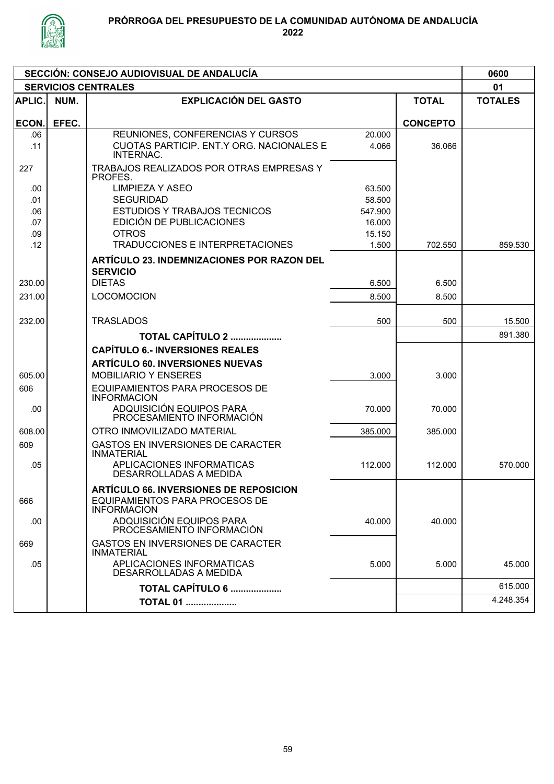

## PRÓRROGA DEL PRESUPUESTO DE LA COMUNIDAD AUTÓNOMA DE ANDALUCÍA

| SECCIÓN: CONSEJO AUDIOVISUAL DE ANDALUCÍA |                            |                                                               |         |                 |                |  |  |  |
|-------------------------------------------|----------------------------|---------------------------------------------------------------|---------|-----------------|----------------|--|--|--|
|                                           | <b>SERVICIOS CENTRALES</b> |                                                               | 01      |                 |                |  |  |  |
| APLIC.                                    | NUM.                       | <b>EXPLICACIÓN DEL GASTO</b>                                  |         | <b>TOTAL</b>    | <b>TOTALES</b> |  |  |  |
| ECON.                                     | EFEC.                      |                                                               |         | <b>CONCEPTO</b> |                |  |  |  |
| .06                                       |                            | REUNIONES, CONFERENCIAS Y CURSOS                              | 20.000  |                 |                |  |  |  |
| .11                                       |                            | CUOTAS PARTICIP. ENT.Y ORG. NACIONALES E<br>INTERNAC.         | 4.066   | 36.066          |                |  |  |  |
| 227                                       |                            | TRABAJOS REALIZADOS POR OTRAS EMPRESAS Y<br>PROFES.           |         |                 |                |  |  |  |
| .00                                       |                            | <b>LIMPIEZA Y ASEO</b>                                        | 63.500  |                 |                |  |  |  |
| .01                                       |                            | <b>SEGURIDAD</b>                                              | 58.500  |                 |                |  |  |  |
| .06                                       |                            | <b>ESTUDIOS Y TRABAJOS TECNICOS</b>                           | 547.900 |                 |                |  |  |  |
| .07                                       |                            | EDICIÓN DE PUBLICACIONES                                      | 16.000  |                 |                |  |  |  |
| .09                                       |                            | <b>OTROS</b>                                                  | 15.150  |                 |                |  |  |  |
| .12                                       |                            | TRADUCCIONES E INTERPRETACIONES                               | 1.500   | 702.550         | 859.530        |  |  |  |
|                                           |                            | ARTÍCULO 23. INDEMNIZACIONES POR RAZON DEL<br><b>SERVICIO</b> |         |                 |                |  |  |  |
| 230.00                                    |                            | <b>DIETAS</b>                                                 | 6.500   | 6.500           |                |  |  |  |
|                                           |                            |                                                               |         |                 |                |  |  |  |
| 231.00                                    |                            | <b>LOCOMOCION</b>                                             | 8.500   | 8.500           |                |  |  |  |
| 232.00                                    |                            | <b>TRASLADOS</b>                                              | 500     | 500             | 15.500         |  |  |  |
|                                           |                            | <b>TOTAL CAPÍTULO 2 </b>                                      |         |                 | 891.380        |  |  |  |
|                                           |                            | <b>CAPÍTULO 6.- INVERSIONES REALES</b>                        |         |                 |                |  |  |  |
|                                           |                            | <b>ARTÍCULO 60. INVERSIONES NUEVAS</b>                        |         |                 |                |  |  |  |
| 605.00                                    |                            | <b>MOBILIARIO Y ENSERES</b>                                   | 3.000   | 3.000           |                |  |  |  |
| 606                                       |                            | <b>EQUIPAMIENTOS PARA PROCESOS DE</b><br><b>INFORMACION</b>   |         |                 |                |  |  |  |
| .00.                                      |                            | ADQUISICIÓN EQUIPOS PARA<br>PROCESAMIENTO INFORMACIÓN         | 70.000  | 70.000          |                |  |  |  |
| 608.00                                    |                            | OTRO INMOVILIZADO MATERIAL                                    | 385.000 | 385.000         |                |  |  |  |
| 609                                       |                            | <b>GASTOS EN INVERSIONES DE CARACTER</b><br><b>INMATERIAL</b> |         |                 |                |  |  |  |
| .05                                       |                            | APLICACIONES INFORMATICAS<br>DESARROLLADAS A MEDIDA           | 112.000 | 112.000         | 570.000        |  |  |  |
|                                           |                            | <b>ARTÍCULO 66. INVERSIONES DE REPOSICION</b>                 |         |                 |                |  |  |  |
| 666                                       |                            | EQUIPAMIENTOS PARA PROCESOS DE<br><b>INFORMACION</b>          |         |                 |                |  |  |  |
| .00                                       |                            | ADQUISICIÓN EQUIPOS PARA<br>PROCESAMIENTO INFORMACIÓN         | 40.000  | 40.000          |                |  |  |  |
| 669                                       |                            | <b>GASTOS EN INVERSIONES DE CARACTER</b><br><b>INMATERIAL</b> |         |                 |                |  |  |  |
| .05                                       |                            | APLICACIONES INFORMATICAS<br>DESARROLLADAS A MEDIDA           | 5.000   | 5.000           | 45.000         |  |  |  |
|                                           |                            | TOTAL CAPÍTULO 6                                              |         |                 | 615.000        |  |  |  |
|                                           |                            | <b>TOTAL 01 </b>                                              |         |                 | 4.248.354      |  |  |  |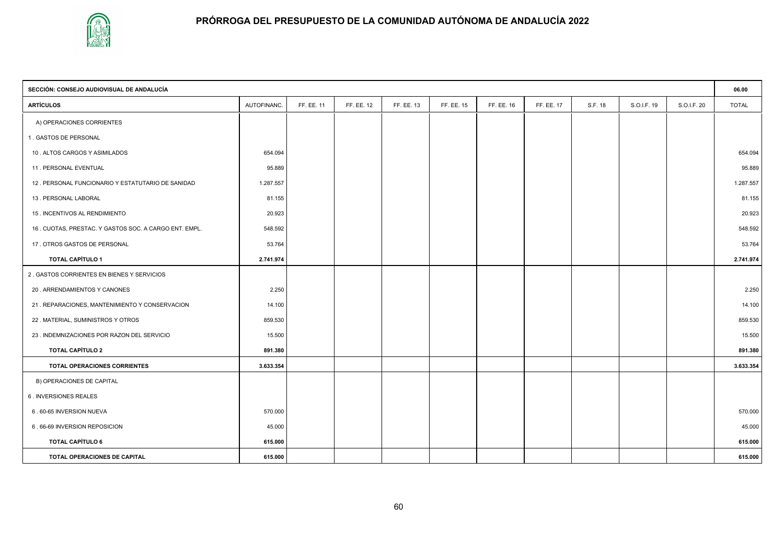

| SECCIÓN: CONSEJO AUDIOVISUAL DE ANDALUCÍA             |             |            |            |            |            |            |            |         |             | 06.00       |              |
|-------------------------------------------------------|-------------|------------|------------|------------|------------|------------|------------|---------|-------------|-------------|--------------|
| <b>ARTÍCULOS</b>                                      | AUTOFINANC. | FF. EE. 11 | FF. EE. 12 | FF. EE. 13 | FF. EE. 15 | FF. EE. 16 | FF. EE. 17 | S.F. 18 | S.O.I.F. 19 | S.O.I.F. 20 | <b>TOTAL</b> |
| A) OPERACIONES CORRIENTES                             |             |            |            |            |            |            |            |         |             |             |              |
| 1. GASTOS DE PERSONAL                                 |             |            |            |            |            |            |            |         |             |             |              |
| 10 . ALTOS CARGOS Y ASIMILADOS                        | 654.094     |            |            |            |            |            |            |         |             |             | 654.094      |
| 11. PERSONAL EVENTUAL                                 | 95.889      |            |            |            |            |            |            |         |             |             | 95.889       |
| 12. PERSONAL FUNCIONARIO Y ESTATUTARIO DE SANIDAD     | 1.287.557   |            |            |            |            |            |            |         |             |             | 1.287.557    |
| 13. PERSONAL LABORAL                                  | 81.155      |            |            |            |            |            |            |         |             |             | 81.155       |
| 15 . INCENTIVOS AL RENDIMIENTO                        | 20.923      |            |            |            |            |            |            |         |             |             | 20.923       |
| 16. CUOTAS, PRESTAC. Y GASTOS SOC. A CARGO ENT. EMPL. | 548.592     |            |            |            |            |            |            |         |             |             | 548.592      |
| 17. OTROS GASTOS DE PERSONAL                          | 53.764      |            |            |            |            |            |            |         |             |             | 53.764       |
| <b>TOTAL CAPÍTULO 1</b>                               | 2.741.974   |            |            |            |            |            |            |         |             |             | 2.741.974    |
| 2. GASTOS CORRIENTES EN BIENES Y SERVICIOS            |             |            |            |            |            |            |            |         |             |             |              |
| 20 . ARRENDAMIENTOS Y CANONES                         | 2.250       |            |            |            |            |            |            |         |             |             | 2.250        |
| 21. REPARACIONES, MANTENIMIENTO Y CONSERVACION        | 14.100      |            |            |            |            |            |            |         |             |             | 14.100       |
| 22 . MATERIAL, SUMINISTROS Y OTROS                    | 859.530     |            |            |            |            |            |            |         |             |             | 859.530      |
| 23 . INDEMNIZACIONES POR RAZON DEL SERVICIO           | 15.500      |            |            |            |            |            |            |         |             |             | 15.500       |
| <b>TOTAL CAPÍTULO 2</b>                               | 891.380     |            |            |            |            |            |            |         |             |             | 891.380      |
| TOTAL OPERACIONES CORRIENTES                          | 3.633.354   |            |            |            |            |            |            |         |             |             | 3.633.354    |
| B) OPERACIONES DE CAPITAL                             |             |            |            |            |            |            |            |         |             |             |              |
| 6. INVERSIONES REALES                                 |             |            |            |            |            |            |            |         |             |             |              |
| 6.60-65 INVERSION NUEVA                               | 570.000     |            |            |            |            |            |            |         |             |             | 570.000      |
| 6.66-69 INVERSION REPOSICION                          | 45.000      |            |            |            |            |            |            |         |             |             | 45.000       |
| <b>TOTAL CAPÍTULO 6</b>                               | 615.000     |            |            |            |            |            |            |         |             |             | 615.000      |
| TOTAL OPERACIONES DE CAPITAL                          | 615.000     |            |            |            |            |            |            |         |             |             | 615.000      |